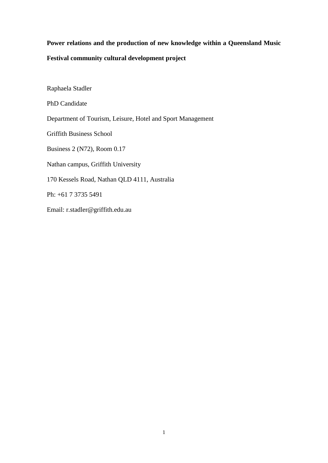# **Power relations and the production of new knowledge within a Queensland Music Festival community cultural development project**

Raphaela Stadler PhD Candidate Department of Tourism, Leisure, Hotel and Sport Management Griffith Business School Business 2 (N72), Room 0.17 Nathan campus, Griffith University 170 Kessels Road, Nathan QLD 4111, Australia Ph: +61 7 3735 5491 Email: [r.stadler@griffith.edu.au](mailto:r.stadler@griffith.edu.au)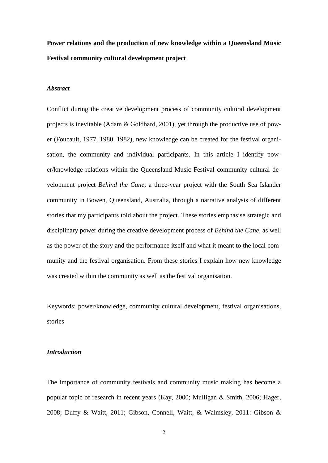**Power relations and the production of new knowledge within a Queensland Music Festival community cultural development project**

## *Abstract*

Conflict during the creative development process of community cultural development projects is inevitable (Adam & Goldbard, 2001), yet through the productive use of power (Foucault, 1977, 1980, 1982), new knowledge can be created for the festival organisation, the community and individual participants. In this article I identify power/knowledge relations within the Queensland Music Festival community cultural development project *Behind the Cane*, a three-year project with the South Sea Islander community in Bowen, Queensland, Australia, through a narrative analysis of different stories that my participants told about the project. These stories emphasise strategic and disciplinary power during the creative development process of *Behind the Cane*, as well as the power of the story and the performance itself and what it meant to the local community and the festival organisation. From these stories I explain how new knowledge was created within the community as well as the festival organisation.

Keywords: power/knowledge, community cultural development, festival organisations, stories

#### *Introduction*

The importance of community festivals and community music making has become a popular topic of research in recent years (Kay, 2000; Mulligan & Smith, 2006; Hager, 2008; Duffy & Waitt, 2011; Gibson, Connell, Waitt, & Walmsley, 2011: Gibson &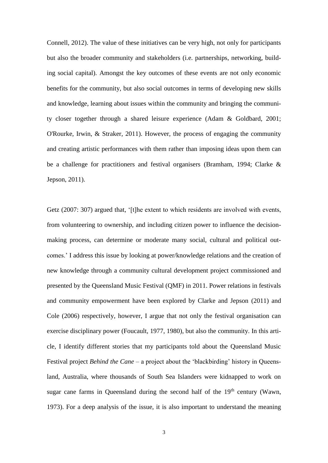Connell, 2012). The value of these initiatives can be very high, not only for participants but also the broader community and stakeholders (i.e. partnerships, networking, building social capital). Amongst the key outcomes of these events are not only economic benefits for the community, but also social outcomes in terms of developing new skills and knowledge, learning about issues within the community and bringing the community closer together through a shared leisure experience (Adam & Goldbard, 2001; O'Rourke, Irwin, & Straker, 2011). However, the process of engaging the community and creating artistic performances with them rather than imposing ideas upon them can be a challenge for practitioners and festival organisers (Bramham, 1994; Clarke & Jepson, 2011).

Getz (2007: 307) argued that, '[t]he extent to which residents are involved with events, from volunteering to ownership, and including citizen power to influence the decisionmaking process, can determine or moderate many social, cultural and political outcomes.' I address this issue by looking at power/knowledge relations and the creation of new knowledge through a community cultural development project commissioned and presented by the Queensland Music Festival (QMF) in 2011. Power relations in festivals and community empowerment have been explored by Clarke and Jepson (2011) and Cole (2006) respectively, however, I argue that not only the festival organisation can exercise disciplinary power (Foucault, 1977, 1980), but also the community. In this article, I identify different stories that my participants told about the Queensland Music Festival project *Behind the Cane* – a project about the 'blackbirding' history in Queensland, Australia, where thousands of South Sea Islanders were kidnapped to work on sugar cane farms in Queensland during the second half of the  $19<sup>th</sup>$  century (Wawn, 1973). For a deep analysis of the issue, it is also important to understand the meaning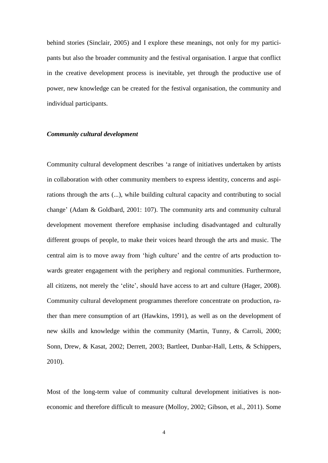behind stories (Sinclair, 2005) and I explore these meanings, not only for my participants but also the broader community and the festival organisation. I argue that conflict in the creative development process is inevitable, yet through the productive use of power, new knowledge can be created for the festival organisation, the community and individual participants.

### *Community cultural development*

Community cultural development describes 'a range of initiatives undertaken by artists in collaboration with other community members to express identity, concerns and aspirations through the arts (...), while building cultural capacity and contributing to social change' (Adam & Goldbard, 2001: 107). The community arts and community cultural development movement therefore emphasise including disadvantaged and culturally different groups of people, to make their voices heard through the arts and music. The central aim is to move away from 'high culture' and the centre of arts production towards greater engagement with the periphery and regional communities. Furthermore, all citizens, not merely the 'elite', should have access to art and culture (Hager, 2008). Community cultural development programmes therefore concentrate on production, rather than mere consumption of art (Hawkins, 1991), as well as on the development of new skills and knowledge within the community (Martin, Tunny, & Carroli, 2000; Sonn, Drew, & Kasat, 2002; Derrett, 2003; Bartleet, Dunbar-Hall, Letts, & Schippers, 2010).

Most of the long-term value of community cultural development initiatives is noneconomic and therefore difficult to measure (Molloy, 2002; Gibson, et al., 2011). Some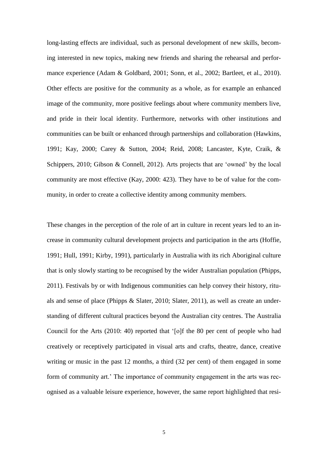long-lasting effects are individual, such as personal development of new skills, becoming interested in new topics, making new friends and sharing the rehearsal and performance experience (Adam & Goldbard, 2001; Sonn, et al., 2002; Bartleet, et al., 2010). Other effects are positive for the community as a whole, as for example an enhanced image of the community, more positive feelings about where community members live, and pride in their local identity. Furthermore, networks with other institutions and communities can be built or enhanced through partnerships and collaboration (Hawkins, 1991; Kay, 2000; Carey & Sutton, 2004; Reid, 2008; Lancaster, Kyte, Craik, & Schippers, 2010; Gibson & Connell, 2012). Arts projects that are 'owned' by the local community are most effective (Kay, 2000: 423). They have to be of value for the community, in order to create a collective identity among community members.

These changes in the perception of the role of art in culture in recent years led to an increase in community cultural development projects and participation in the arts (Hoffie, 1991; Hull, 1991; Kirby, 1991), particularly in Australia with its rich Aboriginal culture that is only slowly starting to be recognised by the wider Australian population (Phipps, 2011). Festivals by or with Indigenous communities can help convey their history, rituals and sense of place (Phipps & Slater, 2010; Slater, 2011), as well as create an understanding of different cultural practices beyond the Australian city centres. The Australia Council for the Arts (2010: 40) reported that '[o]f the 80 per cent of people who had creatively or receptively participated in visual arts and crafts, theatre, dance, creative writing or music in the past 12 months, a third (32 per cent) of them engaged in some form of community art.' The importance of community engagement in the arts was recognised as a valuable leisure experience, however, the same report highlighted that resi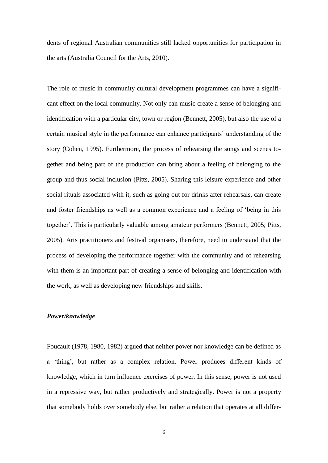dents of regional Australian communities still lacked opportunities for participation in the arts (Australia Council for the Arts, 2010).

The role of music in community cultural development programmes can have a significant effect on the local community. Not only can music create a sense of belonging and identification with a particular city, town or region (Bennett, 2005), but also the use of a certain musical style in the performance can enhance participants' understanding of the story (Cohen, 1995). Furthermore, the process of rehearsing the songs and scenes together and being part of the production can bring about a feeling of belonging to the group and thus social inclusion (Pitts, 2005). Sharing this leisure experience and other social rituals associated with it, such as going out for drinks after rehearsals, can create and foster friendships as well as a common experience and a feeling of 'being in this together'. This is particularly valuable among amateur performers (Bennett, 2005; Pitts, 2005). Arts practitioners and festival organisers, therefore, need to understand that the process of developing the performance together with the community and of rehearsing with them is an important part of creating a sense of belonging and identification with the work, as well as developing new friendships and skills.

#### *Power/knowledge*

Foucault (1978, 1980, 1982) argued that neither power nor knowledge can be defined as a 'thing', but rather as a complex relation. Power produces different kinds of knowledge, which in turn influence exercises of power. In this sense, power is not used in a repressive way, but rather productively and strategically. Power is not a property that somebody holds over somebody else, but rather a relation that operates at all differ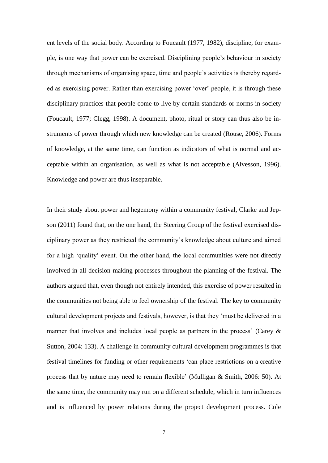ent levels of the social body. According to Foucault (1977, 1982), discipline, for example, is one way that power can be exercised. Disciplining people's behaviour in society through mechanisms of organising space, time and people's activities is thereby regarded as exercising power. Rather than exercising power 'over' people, it is through these disciplinary practices that people come to live by certain standards or norms in society (Foucault, 1977; Clegg, 1998). A document, photo, ritual or story can thus also be instruments of power through which new knowledge can be created (Rouse, 2006). Forms of knowledge, at the same time, can function as indicators of what is normal and acceptable within an organisation, as well as what is not acceptable (Alvesson, 1996). Knowledge and power are thus inseparable.

In their study about power and hegemony within a community festival, Clarke and Jepson (2011) found that, on the one hand, the Steering Group of the festival exercised disciplinary power as they restricted the community's knowledge about culture and aimed for a high 'quality' event. On the other hand, the local communities were not directly involved in all decision-making processes throughout the planning of the festival. The authors argued that, even though not entirely intended, this exercise of power resulted in the communities not being able to feel ownership of the festival. The key to community cultural development projects and festivals, however, is that they 'must be delivered in a manner that involves and includes local people as partners in the process' (Carey & Sutton, 2004: 133). A challenge in community cultural development programmes is that festival timelines for funding or other requirements 'can place restrictions on a creative process that by nature may need to remain flexible' (Mulligan & Smith, 2006: 50). At the same time, the community may run on a different schedule, which in turn influences and is influenced by power relations during the project development process. Cole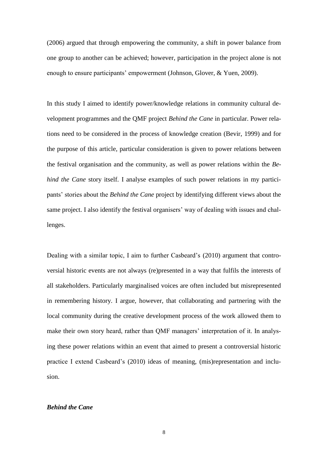(2006) argued that through empowering the community, a shift in power balance from one group to another can be achieved; however, participation in the project alone is not enough to ensure participants' empowerment (Johnson, Glover, & Yuen, 2009).

In this study I aimed to identify power/knowledge relations in community cultural development programmes and the QMF project *Behind the Cane* in particular. Power relations need to be considered in the process of knowledge creation (Bevir, 1999) and for the purpose of this article, particular consideration is given to power relations between the festival organisation and the community, as well as power relations within the *Behind the Cane* story itself. I analyse examples of such power relations in my participants' stories about the *Behind the Cane* project by identifying different views about the same project. I also identify the festival organisers' way of dealing with issues and challenges.

Dealing with a similar topic, I aim to further Casbeard's (2010) argument that controversial historic events are not always (re)presented in a way that fulfils the interests of all stakeholders. Particularly marginalised voices are often included but misrepresented in remembering history. I argue, however, that collaborating and partnering with the local community during the creative development process of the work allowed them to make their own story heard, rather than QMF managers' interpretation of it. In analysing these power relations within an event that aimed to present a controversial historic practice I extend Casbeard's (2010) ideas of meaning, (mis)representation and inclusion.

## *Behind the Cane*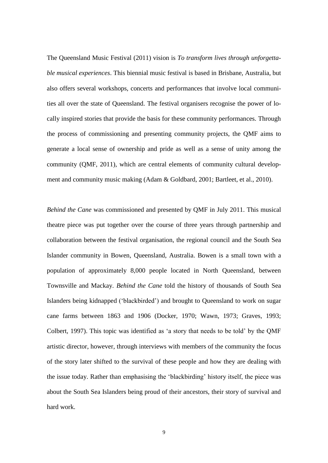The Queensland Music Festival (2011) vision is *To transform lives through unforgettable musical experiences*. This biennial music festival is based in Brisbane, Australia, but also offers several workshops, concerts and performances that involve local communities all over the state of Queensland. The festival organisers recognise the power of locally inspired stories that provide the basis for these community performances. Through the process of commissioning and presenting community projects, the QMF aims to generate a local sense of ownership and pride as well as a sense of unity among the community (QMF, 2011), which are central elements of community cultural development and community music making (Adam & Goldbard, 2001; Bartleet, et al., 2010).

*Behind the Cane* was commissioned and presented by QMF in July 2011. This musical theatre piece was put together over the course of three years through partnership and collaboration between the festival organisation, the regional council and the South Sea Islander community in Bowen, Queensland, Australia. Bowen is a small town with a population of approximately 8,000 people located in North Queensland, between Townsville and Mackay. *Behind the Cane* told the history of thousands of South Sea Islanders being kidnapped ('blackbirded') and brought to Queensland to work on sugar cane farms between 1863 and 1906 (Docker, 1970; Wawn, 1973; Graves, 1993; Colbert, 1997). This topic was identified as 'a story that needs to be told' by the QMF artistic director, however, through interviews with members of the community the focus of the story later shifted to the survival of these people and how they are dealing with the issue today. Rather than emphasising the 'blackbirding' history itself, the piece was about the South Sea Islanders being proud of their ancestors, their story of survival and hard work.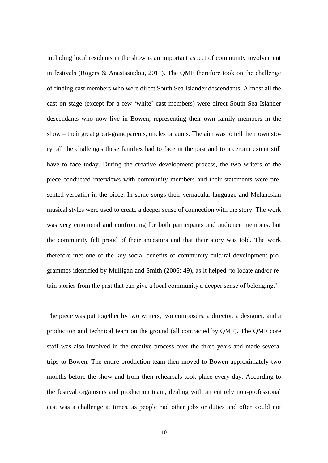Including local residents in the show is an important aspect of community involvement in festivals (Rogers & Anastasiadou, 2011). The QMF therefore took on the challenge of finding cast members who were direct South Sea Islander descendants. Almost all the cast on stage (except for a few 'white' cast members) were direct South Sea Islander descendants who now live in Bowen, representing their own family members in the show – their great great-grandparents, uncles or aunts. The aim was to tell their own story, all the challenges these families had to face in the past and to a certain extent still have to face today. During the creative development process, the two writers of the piece conducted interviews with community members and their statements were presented verbatim in the piece. In some songs their vernacular language and Melanesian musical styles were used to create a deeper sense of connection with the story. The work was very emotional and confronting for both participants and audience members, but the community felt proud of their ancestors and that their story was told. The work therefore met one of the key social benefits of community cultural development programmes identified by Mulligan and Smith (2006: 49), as it helped 'to locate and/or retain stories from the past that can give a local community a deeper sense of belonging.'

The piece was put together by two writers, two composers, a director, a designer, and a production and technical team on the ground (all contracted by QMF). The QMF core staff was also involved in the creative process over the three years and made several trips to Bowen. The entire production team then moved to Bowen approximately two months before the show and from then rehearsals took place every day. According to the festival organisers and production team, dealing with an entirely non-professional cast was a challenge at times, as people had other jobs or duties and often could not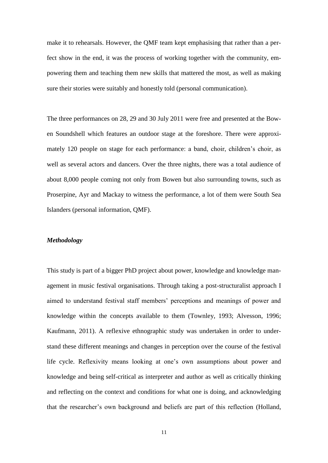make it to rehearsals. However, the QMF team kept emphasising that rather than a perfect show in the end, it was the process of working together with the community, empowering them and teaching them new skills that mattered the most, as well as making sure their stories were suitably and honestly told (personal communication).

The three performances on 28, 29 and 30 July 2011 were free and presented at the Bowen Soundshell which features an outdoor stage at the foreshore. There were approximately 120 people on stage for each performance: a band, choir, children's choir, as well as several actors and dancers. Over the three nights, there was a total audience of about 8,000 people coming not only from Bowen but also surrounding towns, such as Proserpine, Ayr and Mackay to witness the performance, a lot of them were South Sea Islanders (personal information, QMF).

### *Methodology*

This study is part of a bigger PhD project about power, knowledge and knowledge management in music festival organisations. Through taking a post-structuralist approach I aimed to understand festival staff members' perceptions and meanings of power and knowledge within the concepts available to them (Townley, 1993; Alvesson, 1996; Kaufmann, 2011). A reflexive ethnographic study was undertaken in order to understand these different meanings and changes in perception over the course of the festival life cycle. Reflexivity means looking at one's own assumptions about power and knowledge and being self-critical as interpreter and author as well as critically thinking and reflecting on the context and conditions for what one is doing, and acknowledging that the researcher's own background and beliefs are part of this reflection (Holland,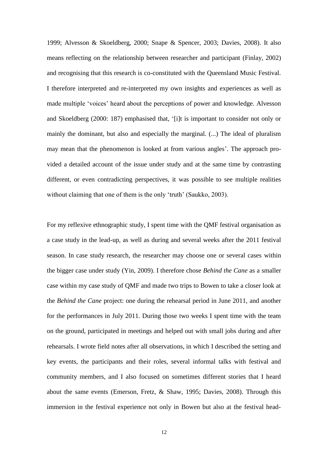1999; Alvesson & Skoeldberg, 2000; Snape & Spencer, 2003; Davies, 2008). It also means reflecting on the relationship between researcher and participant (Finlay, 2002) and recognising that this research is co-constituted with the Queensland Music Festival. I therefore interpreted and re-interpreted my own insights and experiences as well as made multiple 'voices' heard about the perceptions of power and knowledge. Alvesson and Skoeldberg (2000: 187) emphasised that, '[i]t is important to consider not only or mainly the dominant, but also and especially the marginal. (...) The ideal of pluralism may mean that the phenomenon is looked at from various angles'. The approach provided a detailed account of the issue under study and at the same time by contrasting different, or even contradicting perspectives, it was possible to see multiple realities without claiming that one of them is the only 'truth' (Saukko, 2003).

For my reflexive ethnographic study, I spent time with the QMF festival organisation as a case study in the lead-up, as well as during and several weeks after the 2011 festival season. In case study research, the researcher may choose one or several cases within the bigger case under study (Yin, 2009). I therefore chose *Behind the Cane* as a smaller case within my case study of QMF and made two trips to Bowen to take a closer look at the *Behind the Cane* project: one during the rehearsal period in June 2011, and another for the performances in July 2011. During those two weeks I spent time with the team on the ground, participated in meetings and helped out with small jobs during and after rehearsals. I wrote field notes after all observations, in which I described the setting and key events, the participants and their roles, several informal talks with festival and community members, and I also focused on sometimes different stories that I heard about the same events (Emerson, Fretz, & Shaw, 1995; Davies, 2008). Through this immersion in the festival experience not only in Bowen but also at the festival head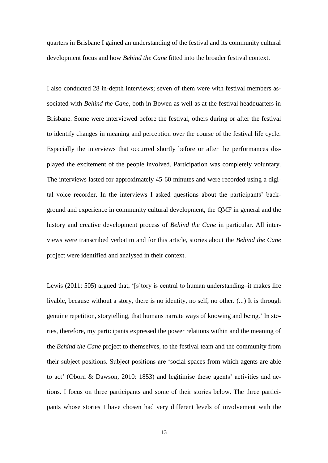quarters in Brisbane I gained an understanding of the festival and its community cultural development focus and how *Behind the Cane* fitted into the broader festival context.

I also conducted 28 in-depth interviews; seven of them were with festival members associated with *Behind the Cane*, both in Bowen as well as at the festival headquarters in Brisbane. Some were interviewed before the festival, others during or after the festival to identify changes in meaning and perception over the course of the festival life cycle. Especially the interviews that occurred shortly before or after the performances displayed the excitement of the people involved. Participation was completely voluntary. The interviews lasted for approximately 45-60 minutes and were recorded using a digital voice recorder. In the interviews I asked questions about the participants' background and experience in community cultural development, the QMF in general and the history and creative development process of *Behind the Cane* in particular. All interviews were transcribed verbatim and for this article, stories about the *Behind the Cane* project were identified and analysed in their context.

Lewis (2011: 505) argued that, '[s]tory is central to human understanding–it makes life livable, because without a story, there is no identity, no self, no other. (...) It is through genuine repetition, storytelling, that humans narrate ways of knowing and being.' In stories, therefore, my participants expressed the power relations within and the meaning of the *Behind the Cane* project to themselves, to the festival team and the community from their subject positions. Subject positions are 'social spaces from which agents are able to act' (Oborn & Dawson, 2010: 1853) and legitimise these agents' activities and actions. I focus on three participants and some of their stories below. The three participants whose stories I have chosen had very different levels of involvement with the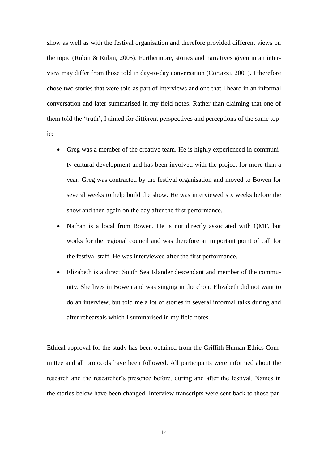show as well as with the festival organisation and therefore provided different views on the topic (Rubin & Rubin, 2005). Furthermore, stories and narratives given in an interview may differ from those told in day-to-day conversation (Cortazzi, 2001). I therefore chose two stories that were told as part of interviews and one that I heard in an informal conversation and later summarised in my field notes. Rather than claiming that one of them told the 'truth', I aimed for different perspectives and perceptions of the same topic:

- Greg was a member of the creative team. He is highly experienced in community cultural development and has been involved with the project for more than a year. Greg was contracted by the festival organisation and moved to Bowen for several weeks to help build the show. He was interviewed six weeks before the show and then again on the day after the first performance.
- Nathan is a local from Bowen. He is not directly associated with QMF, but works for the regional council and was therefore an important point of call for the festival staff. He was interviewed after the first performance.
- Elizabeth is a direct South Sea Islander descendant and member of the community. She lives in Bowen and was singing in the choir. Elizabeth did not want to do an interview, but told me a lot of stories in several informal talks during and after rehearsals which I summarised in my field notes.

Ethical approval for the study has been obtained from the Griffith Human Ethics Committee and all protocols have been followed. All participants were informed about the research and the researcher's presence before, during and after the festival. Names in the stories below have been changed. Interview transcripts were sent back to those par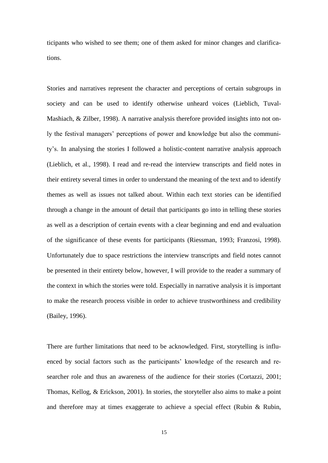ticipants who wished to see them; one of them asked for minor changes and clarifications.

Stories and narratives represent the character and perceptions of certain subgroups in society and can be used to identify otherwise unheard voices (Lieblich, Tuval-Mashiach, & Zilber, 1998). A narrative analysis therefore provided insights into not only the festival managers' perceptions of power and knowledge but also the community's. In analysing the stories I followed a holistic-content narrative analysis approach (Lieblich, et al., 1998). I read and re-read the interview transcripts and field notes in their entirety several times in order to understand the meaning of the text and to identify themes as well as issues not talked about. Within each text stories can be identified through a change in the amount of detail that participants go into in telling these stories as well as a description of certain events with a clear beginning and end and evaluation of the significance of these events for participants (Riessman, 1993; Franzosi, 1998). Unfortunately due to space restrictions the interview transcripts and field notes cannot be presented in their entirety below, however, I will provide to the reader a summary of the context in which the stories were told. Especially in narrative analysis it is important to make the research process visible in order to achieve trustworthiness and credibility (Bailey, 1996).

There are further limitations that need to be acknowledged. First, storytelling is influenced by social factors such as the participants' knowledge of the research and researcher role and thus an awareness of the audience for their stories (Cortazzi, 2001; Thomas, Kellog, & Erickson, 2001). In stories, the storyteller also aims to make a point and therefore may at times exaggerate to achieve a special effect (Rubin & Rubin,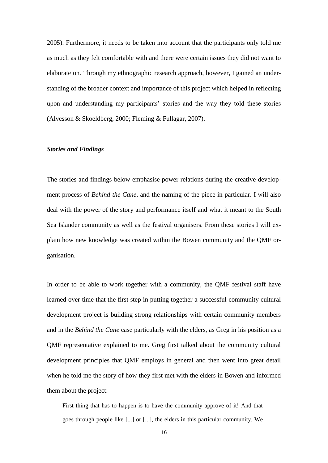2005). Furthermore, it needs to be taken into account that the participants only told me as much as they felt comfortable with and there were certain issues they did not want to elaborate on. Through my ethnographic research approach, however, I gained an understanding of the broader context and importance of this project which helped in reflecting upon and understanding my participants' stories and the way they told these stories (Alvesson & Skoeldberg, 2000; Fleming & Fullagar, 2007).

### *Stories and Findings*

The stories and findings below emphasise power relations during the creative development process of *Behind the Cane*, and the naming of the piece in particular. I will also deal with the power of the story and performance itself and what it meant to the South Sea Islander community as well as the festival organisers. From these stories I will explain how new knowledge was created within the Bowen community and the QMF organisation.

In order to be able to work together with a community, the QMF festival staff have learned over time that the first step in putting together a successful community cultural development project is building strong relationships with certain community members and in the *Behind the Cane* case particularly with the elders, as Greg in his position as a QMF representative explained to me. Greg first talked about the community cultural development principles that QMF employs in general and then went into great detail when he told me the story of how they first met with the elders in Bowen and informed them about the project:

First thing that has to happen is to have the community approve of it! And that goes through people like [...] or [...], the elders in this particular community. We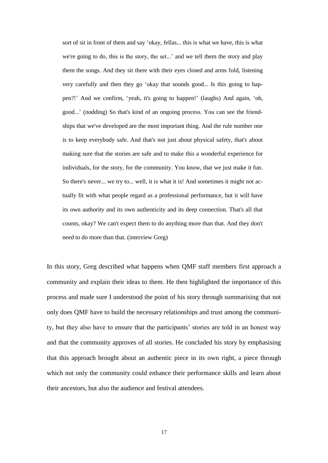sort of sit in front of them and say 'okay, fellas... this is what we have, this is what we're going to do, this is the story, the set...' and we tell them the story and play them the songs. And they sit there with their eyes closed and arms fold, listening very carefully and then they go 'okay that sounds good... Is this going to happen?!' And we confirm, 'yeah, it's going to happen!' (laughs) And again, 'oh, good...' (nodding) So that's kind of an ongoing process. You can see the friendships that we've developed are the most important thing. And the rule number one is to keep everybody safe. And that's not just about physical safety, that's about making sure that the stories are safe and to make this a wonderful experience for individuals, for the story, for the community. You know, that we just make it fun. So there's never... we try to... well, it is what it is! And sometimes it might not actually fit with what people regard as a professional performance, but it will have its own authority and its own authenticity and its deep connection. That's all that counts, okay? We can't expect them to do anything more than that. And they don't need to do more than that. (interview Greg)

In this story, Greg described what happens when QMF staff members first approach a community and explain their ideas to them. He then highlighted the importance of this process and made sure I understood the point of his story through summarising that not only does QMF have to build the necessary relationships and trust among the community, but they also have to ensure that the participants' stories are told in an honest way and that the community approves of all stories. He concluded his story by emphasising that this approach brought about an authentic piece in its own right, a piece through which not only the community could enhance their performance skills and learn about their ancestors, but also the audience and festival attendees.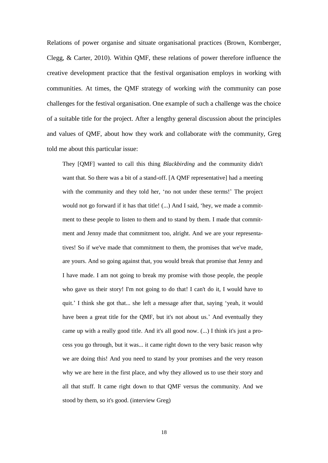Relations of power organise and situate organisational practices (Brown, Kornberger, Clegg, & Carter, 2010). Within QMF, these relations of power therefore influence the creative development practice that the festival organisation employs in working with communities. At times, the QMF strategy of working *with* the community can pose challenges for the festival organisation. One example of such a challenge was the choice of a suitable title for the project. After a lengthy general discussion about the principles and values of QMF, about how they work and collaborate *with* the community, Greg told me about this particular issue:

They [QMF] wanted to call this thing *Blackbirding* and the community didn't want that. So there was a bit of a stand-off. [A QMF representative] had a meeting with the community and they told her, 'no not under these terms!' The project would not go forward if it has that title! (...) And I said, 'hey, we made a commitment to these people to listen to them and to stand by them. I made that commitment and Jenny made that commitment too, alright. And we are your representatives! So if we've made that commitment to them, the promises that we've made, are yours. And so going against that, you would break that promise that Jenny and I have made. I am not going to break my promise with those people, the people who gave us their story! I'm not going to do that! I can't do it, I would have to quit.' I think she got that... she left a message after that, saying 'yeah, it would have been a great title for the QMF, but it's not about us.' And eventually they came up with a really good title. And it's all good now. (...) I think it's just a process you go through, but it was... it came right down to the very basic reason why we are doing this! And you need to stand by your promises and the very reason why we are here in the first place, and why they allowed us to use their story and all that stuff. It came right down to that QMF versus the community. And we stood by them, so it's good. (interview Greg)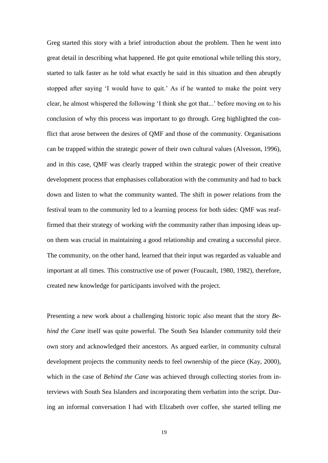Greg started this story with a brief introduction about the problem. Then he went into great detail in describing what happened. He got quite emotional while telling this story, started to talk faster as he told what exactly he said in this situation and then abruptly stopped after saying 'I would have to quit.' As if he wanted to make the point very clear, he almost whispered the following 'I think she got that...' before moving on to his conclusion of why this process was important to go through. Greg highlighted the conflict that arose between the desires of QMF and those of the community. Organisations can be trapped within the strategic power of their own cultural values (Alvesson, 1996), and in this case, QMF was clearly trapped within the strategic power of their creative development process that emphasises collaboration with the community and had to back down and listen to what the community wanted. The shift in power relations from the festival team to the community led to a learning process for both sides: QMF was reaffirmed that their strategy of working *with* the community rather than imposing ideas upon them was crucial in maintaining a good relationship and creating a successful piece. The community, on the other hand, learned that their input was regarded as valuable and important at all times. This constructive use of power (Foucault, 1980, 1982), therefore, created new knowledge for participants involved with the project.

Presenting a new work about a challenging historic topic also meant that the story *Behind the Cane* itself was quite powerful. The South Sea Islander community told their own story and acknowledged their ancestors. As argued earlier, in community cultural development projects the community needs to feel ownership of the piece (Kay, 2000), which in the case of *Behind the Cane* was achieved through collecting stories from interviews with South Sea Islanders and incorporating them verbatim into the script. During an informal conversation I had with Elizabeth over coffee, she started telling me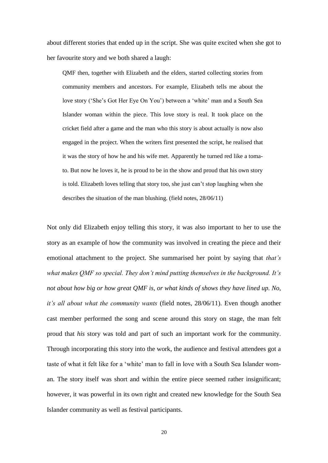about different stories that ended up in the script. She was quite excited when she got to her favourite story and we both shared a laugh:

QMF then, together with Elizabeth and the elders, started collecting stories from community members and ancestors. For example, Elizabeth tells me about the love story ('She's Got Her Eye On You') between a 'white' man and a South Sea Islander woman within the piece. This love story is real. It took place on the cricket field after a game and the man who this story is about actually is now also engaged in the project. When the writers first presented the script, he realised that it was the story of how he and his wife met. Apparently he turned red like a tomato. But now he loves it, he is proud to be in the show and proud that his own story is told. Elizabeth loves telling that story too, she just can't stop laughing when she describes the situation of the man blushing. (field notes, 28/06/11)

Not only did Elizabeth enjoy telling this story, it was also important to her to use the story as an example of how the community was involved in creating the piece and their emotional attachment to the project. She summarised her point by saying that *that's what makes QMF so special. They don't mind putting themselves in the background. It's not about how big or how great QMF is, or what kinds of shows they have lined up. No, it's all about what the community wants* (field notes, 28/06/11). Even though another cast member performed the song and scene around this story on stage, the man felt proud that *his* story was told and part of such an important work for the community. Through incorporating this story into the work, the audience and festival attendees got a taste of what it felt like for a 'white' man to fall in love with a South Sea Islander woman. The story itself was short and within the entire piece seemed rather insignificant; however, it was powerful in its own right and created new knowledge for the South Sea Islander community as well as festival participants.

20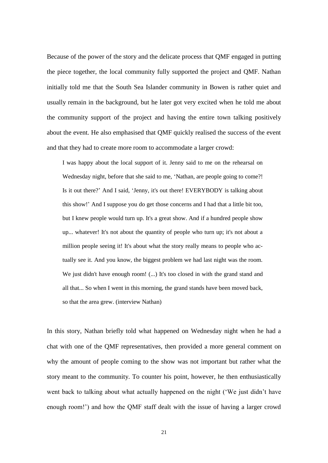Because of the power of the story and the delicate process that QMF engaged in putting the piece together, the local community fully supported the project and QMF. Nathan initially told me that the South Sea Islander community in Bowen is rather quiet and usually remain in the background, but he later got very excited when he told me about the community support of the project and having the entire town talking positively about the event. He also emphasised that QMF quickly realised the success of the event and that they had to create more room to accommodate a larger crowd:

I was happy about the local support of it. Jenny said to me on the rehearsal on Wednesday night, before that she said to me, 'Nathan, are people going to come?! Is it out there?' And I said, 'Jenny, it's out there! EVERYBODY is talking about this show!' And I suppose you do get those concerns and I had that a little bit too, but I knew people would turn up. It's a great show. And if a hundred people show up... whatever! It's not about the quantity of people who turn up; it's not about a million people seeing it! It's about what the story really means to people who actually see it. And you know, the biggest problem we had last night was the room. We just didn't have enough room! (...) It's too closed in with the grand stand and all that... So when I went in this morning, the grand stands have been moved back, so that the area grew. (interview Nathan)

In this story, Nathan briefly told what happened on Wednesday night when he had a chat with one of the QMF representatives, then provided a more general comment on why the amount of people coming to the show was not important but rather what the story meant to the community. To counter his point, however, he then enthusiastically went back to talking about what actually happened on the night ('We just didn't have enough room!') and how the QMF staff dealt with the issue of having a larger crowd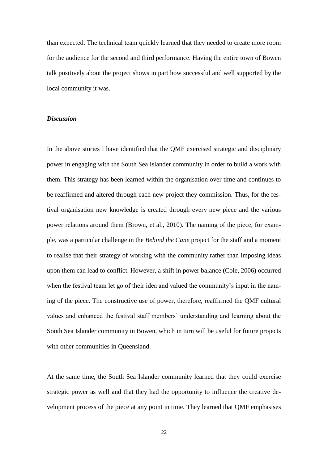than expected. The technical team quickly learned that they needed to create more room for the audience for the second and third performance. Having the entire town of Bowen talk positively about the project shows in part how successful and well supported by the local community it was.

## *Discussion*

In the above stories I have identified that the QMF exercised strategic and disciplinary power in engaging with the South Sea Islander community in order to build a work with them. This strategy has been learned within the organisation over time and continues to be reaffirmed and altered through each new project they commission. Thus, for the festival organisation new knowledge is created through every new piece and the various power relations around them (Brown, et al., 2010). The naming of the piece, for example, was a particular challenge in the *Behind the Cane* project for the staff and a moment to realise that their strategy of working with the community rather than imposing ideas upon them can lead to conflict. However, a shift in power balance (Cole, 2006) occurred when the festival team let go of their idea and valued the community's input in the naming of the piece. The constructive use of power, therefore, reaffirmed the QMF cultural values and enhanced the festival staff members' understanding and learning about the South Sea Islander community in Bowen, which in turn will be useful for future projects with other communities in Oueensland.

At the same time, the South Sea Islander community learned that they could exercise strategic power as well and that they had the opportunity to influence the creative development process of the piece at any point in time. They learned that QMF emphasises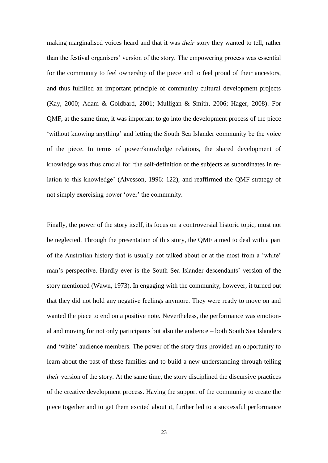making marginalised voices heard and that it was *their* story they wanted to tell, rather than the festival organisers' version of the story. The empowering process was essential for the community to feel ownership of the piece and to feel proud of their ancestors, and thus fulfilled an important principle of community cultural development projects (Kay, 2000; Adam & Goldbard, 2001; Mulligan & Smith, 2006; Hager, 2008). For QMF, at the same time, it was important to go into the development process of the piece 'without knowing anything' and letting the South Sea Islander community be the voice of the piece. In terms of power/knowledge relations, the shared development of knowledge was thus crucial for 'the self-definition of the subjects as subordinates in relation to this knowledge' (Alvesson, 1996: 122), and reaffirmed the QMF strategy of not simply exercising power 'over' the community.

Finally, the power of the story itself, its focus on a controversial historic topic, must not be neglected. Through the presentation of this story, the QMF aimed to deal with a part of the Australian history that is usually not talked about or at the most from a 'white' man's perspective. Hardly ever is the South Sea Islander descendants' version of the story mentioned (Wawn, 1973). In engaging with the community, however, it turned out that they did not hold any negative feelings anymore. They were ready to move on and wanted the piece to end on a positive note. Nevertheless, the performance was emotional and moving for not only participants but also the audience – both South Sea Islanders and 'white' audience members. The power of the story thus provided an opportunity to learn about the past of these families and to build a new understanding through telling *their* version of the story. At the same time, the story disciplined the discursive practices of the creative development process. Having the support of the community to create the piece together and to get them excited about it, further led to a successful performance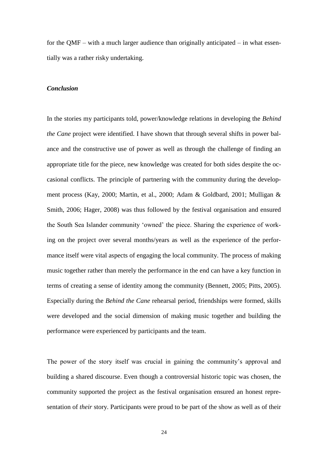for the QMF – with a much larger audience than originally anticipated – in what essentially was a rather risky undertaking.

## *Conclusion*

In the stories my participants told, power/knowledge relations in developing the *Behind the Cane* project were identified. I have shown that through several shifts in power balance and the constructive use of power as well as through the challenge of finding an appropriate title for the piece, new knowledge was created for both sides despite the occasional conflicts. The principle of partnering with the community during the development process (Kay, 2000; Martin, et al., 2000; Adam & Goldbard, 2001; Mulligan & Smith, 2006; Hager, 2008) was thus followed by the festival organisation and ensured the South Sea Islander community 'owned' the piece. Sharing the experience of working on the project over several months/years as well as the experience of the performance itself were vital aspects of engaging the local community. The process of making music together rather than merely the performance in the end can have a key function in terms of creating a sense of identity among the community (Bennett, 2005; Pitts, 2005). Especially during the *Behind the Cane* rehearsal period, friendships were formed, skills were developed and the social dimension of making music together and building the performance were experienced by participants and the team.

The power of the story itself was crucial in gaining the community's approval and building a shared discourse. Even though a controversial historic topic was chosen, the community supported the project as the festival organisation ensured an honest representation of *their* story. Participants were proud to be part of the show as well as of their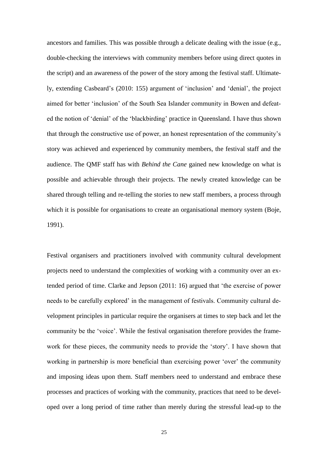ancestors and families. This was possible through a delicate dealing with the issue (e.g., double-checking the interviews with community members before using direct quotes in the script) and an awareness of the power of the story among the festival staff. Ultimately, extending Casbeard's (2010: 155) argument of 'inclusion' and 'denial', the project aimed for better 'inclusion' of the South Sea Islander community in Bowen and defeated the notion of 'denial' of the 'blackbirding' practice in Queensland. I have thus shown that through the constructive use of power, an honest representation of the community's story was achieved and experienced by community members, the festival staff and the audience. The QMF staff has with *Behind the Cane* gained new knowledge on what is possible and achievable through their projects. The newly created knowledge can be shared through telling and re-telling the stories to new staff members, a process through which it is possible for organisations to create an organisational memory system (Boje, 1991).

Festival organisers and practitioners involved with community cultural development projects need to understand the complexities of working with a community over an extended period of time. Clarke and Jepson (2011: 16) argued that 'the exercise of power needs to be carefully explored' in the management of festivals. Community cultural development principles in particular require the organisers at times to step back and let the community be the 'voice'. While the festival organisation therefore provides the framework for these pieces, the community needs to provide the 'story'. I have shown that working in partnership is more beneficial than exercising power 'over' the community and imposing ideas upon them. Staff members need to understand and embrace these processes and practices of working with the community, practices that need to be developed over a long period of time rather than merely during the stressful lead-up to the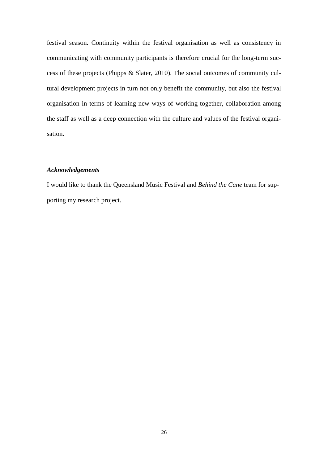festival season. Continuity within the festival organisation as well as consistency in communicating with community participants is therefore crucial for the long-term success of these projects (Phipps & Slater, 2010). The social outcomes of community cultural development projects in turn not only benefit the community, but also the festival organisation in terms of learning new ways of working together, collaboration among the staff as well as a deep connection with the culture and values of the festival organisation.

#### *Acknowledgements*

I would like to thank the Queensland Music Festival and *Behind the Cane* team for supporting my research project.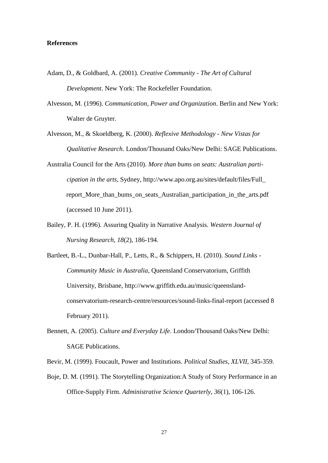### **References**

- Adam, D., & Goldbard, A. (2001). *Creative Community - The Art of Cultural Development*. New York: The Rockefeller Foundation.
- Alvesson, M. (1996). *Communication, Power and Organization*. Berlin and New York: Walter de Gruyter.
- Alvesson, M., & Skoeldberg, K. (2000). *Reflexive Methodology - New Vistas for Qualitative Research*. London/Thousand Oaks/New Delhi: SAGE Publications.
- Australia Council for the Arts (2010). *More than bums on seats: Australian participation in the arts*, Sydney, http://www.apo.org.au/sites/default/files/Full\_ report\_More\_than\_bums\_on\_seats\_Australian\_participation\_in\_the\_arts.pdf (accessed 10 June 2011).
- Bailey, P. H. (1996). Assuring Quality in Narrative Analysis. *Western Journal of Nursing Research, 18*(2), 186-194.
- Bartleet, B.-L., Dunbar-Hall, P., Letts, R., & Schippers, H. (2010). *Sound Links - Community Music in Australia*, Queensland Conservatorium, Griffith University, Brisbane, http://www.griffith.edu.au/music/queenslandconservatorium-research-centre/resources/sound-links-final-report (accessed 8 February 2011).
- Bennett, A. (2005). *Culture and Everyday Life*. London/Thousand Oaks/New Delhi: SAGE Publications.
- Bevir, M. (1999). Foucault, Power and Institutions. *Political Studies, XLVII*, 345-359.
- Boje, D. M. (1991). The Storytelling Organization:A Study of Story Performance in an Office-Supply Firm. *Administrative Science Quarterly, 36*(1), 106-126.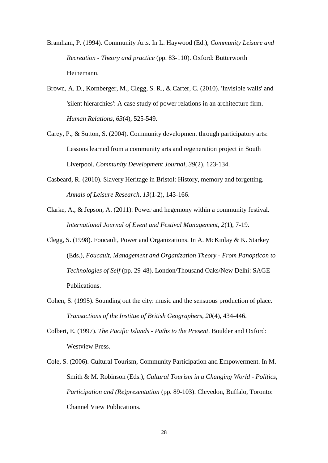Bramham, P. (1994). Community Arts. In L. Haywood (Ed.), *Community Leisure and Recreation - Theory and practice* (pp. 83-110). Oxford: Butterworth Heinemann.

- Brown, A. D., Kornberger, M., Clegg, S. R., & Carter, C. (2010). 'Invisible walls' and 'silent hierarchies': A case study of power relations in an architecture firm. *Human Relations, 63*(4), 525-549.
- Carey, P., & Sutton, S. (2004). Community development through participatory arts: Lessons learned from a community arts and regeneration project in South Liverpool. *Community Development Journal, 39*(2), 123-134.
- Casbeard, R. (2010). Slavery Heritage in Bristol: History, memory and forgetting. *Annals of Leisure Research, 13*(1-2), 143-166.
- Clarke, A., & Jepson, A. (2011). Power and hegemony within a community festival. *International Journal of Event and Festival Management, 2*(1), 7-19.
- Clegg, S. (1998). Foucault, Power and Organizations. In A. McKinlay & K. Starkey (Eds.), *Foucault, Management and Organization Theory - From Panopticon to Technologies of Self* (pp. 29-48). London/Thousand Oaks/New Delhi: SAGE Publications.
- Cohen, S. (1995). Sounding out the city: music and the sensuous production of place. *Transactions of the Institue of British Geographers, 20*(4), 434-446.
- Colbert, E. (1997). *The Pacific Islands - Paths to the Present*. Boulder and Oxford: Westview Press.
- Cole, S. (2006). Cultural Tourism, Community Participation and Empowerment. In M. Smith & M. Robinson (Eds.), *Cultural Tourism in a Changing World - Politics, Participation and (Re)presentation* (pp. 89-103). Clevedon, Buffalo, Toronto: Channel View Publications.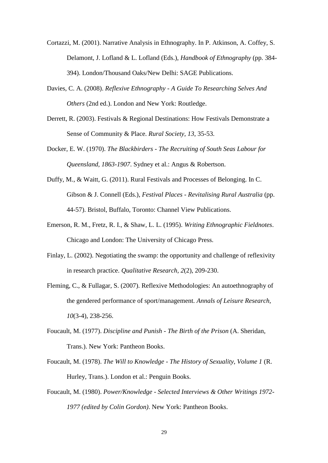- Cortazzi, M. (2001). Narrative Analysis in Ethnography. In P. Atkinson, A. Coffey, S. Delamont, J. Lofland & L. Lofland (Eds.), *Handbook of Ethnography* (pp. 384- 394). London/Thousand Oaks/New Delhi: SAGE Publications.
- Davies, C. A. (2008). *Reflexive Ethnography - A Guide To Researching Selves And Others* (2nd ed.). London and New York: Routledge.
- Derrett, R. (2003). Festivals & Regional Destinations: How Festivals Demonstrate a Sense of Community & Place. *Rural Society, 13*, 35-53.
- Docker, E. W. (1970). *The Blackbirders - The Recruiting of South Seas Labour for Queensland, 1863-1907*. Sydney et al.: Angus & Robertson.
- Duffy, M., & Waitt, G. (2011). Rural Festivals and Processes of Belonging. In C. Gibson & J. Connell (Eds.), *Festival Places - Revitalising Rural Australia* (pp. 44-57). Bristol, Buffalo, Toronto: Channel View Publications.
- Emerson, R. M., Fretz, R. I., & Shaw, L. L. (1995). *Writing Ethnographic Fieldnotes*. Chicago and London: The University of Chicago Press.
- Finlay, L. (2002). Negotiating the swamp: the opportunity and challenge of reflexivity in research practice. *Qualitative Research, 2*(2), 209-230.
- Fleming, C., & Fullagar, S. (2007). Reflexive Methodologies: An autoethnography of the gendered performance of sport/management. *Annals of Leisure Research, 10*(3-4), 238-256.
- Foucault, M. (1977). *Discipline and Punish - The Birth of the Prison* (A. Sheridan, Trans.). New York: Pantheon Books.
- Foucault, M. (1978). *The Will to Knowledge - The History of Sexuality, Volume 1* (R. Hurley, Trans.). London et al.: Penguin Books.
- Foucault, M. (1980). *Power/Knowledge - Selected Interviews & Other Writings 1972- 1977 (edited by Colin Gordon)*. New York: Pantheon Books.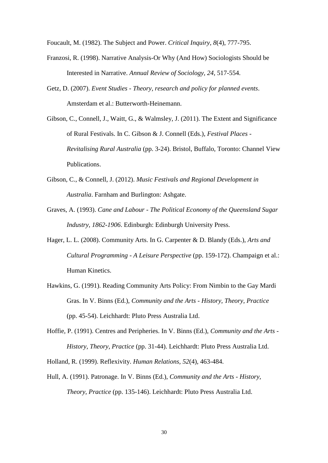Foucault, M. (1982). The Subject and Power. *Critical Inquiry, 8*(4), 777-795.

- Franzosi, R. (1998). Narrative Analysis-Or Why (And How) Sociologists Should be Interested in Narrative. *Annual Review of Sociology, 24*, 517-554.
- Getz, D. (2007). *Event Studies - Theory, research and policy for planned events*. Amsterdam et al.: Butterworth-Heinemann.
- Gibson, C., Connell, J., Waitt, G., & Walmsley, J. (2011). The Extent and Significance of Rural Festivals. In C. Gibson & J. Connell (Eds.), *Festival Places - Revitalising Rural Australia* (pp. 3-24). Bristol, Buffalo, Toronto: Channel View Publications.
- Gibson, C., & Connell, J. (2012). *Music Festivals and Regional Development in Australia*. Farnham and Burlington: Ashgate.
- Graves, A. (1993). *Cane and Labour - The Political Economy of the Queensland Sugar Industry, 1862-1906*. Edinburgh: Edinburgh University Press.
- Hager, L. L. (2008). Community Arts. In G. Carpenter & D. Blandy (Eds.), *Arts and Cultural Programming - A Leisure Perspective* (pp. 159-172). Champaign et al.: Human Kinetics.
- Hawkins, G. (1991). Reading Community Arts Policy: From Nimbin to the Gay Mardi Gras. In V. Binns (Ed.), *Community and the Arts - History, Theory, Practice* (pp. 45-54). Leichhardt: Pluto Press Australia Ltd.
- Hoffie, P. (1991). Centres and Peripheries. In V. Binns (Ed.), *Community and the Arts - History, Theory, Practice* (pp. 31-44). Leichhardt: Pluto Press Australia Ltd.

Holland, R. (1999). Reflexivity. *Human Relations, 52*(4), 463-484.

Hull, A. (1991). Patronage. In V. Binns (Ed.), *Community and the Arts - History, Theory, Practice* (pp. 135-146). Leichhardt: Pluto Press Australia Ltd.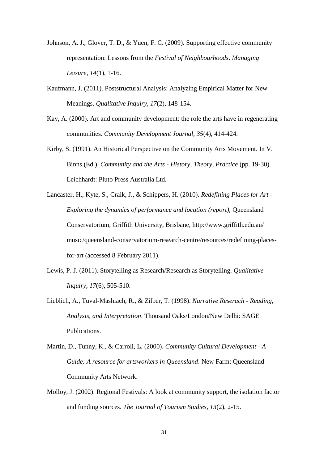- Johnson, A. J., Glover, T. D., & Yuen, F. C. (2009). Supporting effective community representation: Lessons from the *Festival of Neighbourhoods*. *Managing Leisure, 14*(1), 1-16.
- Kaufmann, J. (2011). Poststructural Analysis: Analyzing Empirical Matter for New Meanings. *Qualitative Inquiry, 17*(2), 148-154.
- Kay, A. (2000). Art and community development: the role the arts have in regenerating communities. *Community Development Journal, 35*(4), 414-424.
- Kirby, S. (1991). An Historical Perspective on the Community Arts Movement. In V. Binns (Ed.), *Community and the Arts - History, Theory, Practice* (pp. 19-30). Leichhardt: Pluto Press Australia Ltd.
- Lancaster, H., Kyte, S., Craik, J., & Schippers, H. (2010). *Redefining Places for Art - Exploring the dynamics of performance and location (report)*, Queensland Conservatorium, Griffith University, Brisbane, http://www.griffith.edu.au/ music/queensland-conservatorium-research-centre/resources/redefining-placesfor-art (accessed 8 February 2011).
- Lewis, P. J. (2011). Storytelling as Research/Research as Storytelling. *Qualitative Inquiry, 17*(6), 505-510.
- Lieblich, A., Tuval-Mashiach, R., & Zilber, T. (1998). *Narrative Reserach - Reading, Analysis, and Interpretation*. Thousand Oaks/London/New Delhi: SAGE Publications.
- Martin, D., Tunny, K., & Carroli, L. (2000). *Community Cultural Development - A Guide: A resource for artsworkers in Queensland*. New Farm: Queensland Community Arts Network.
- Molloy, J. (2002). Regional Festivals: A look at community support, the isolation factor and funding sources. *The Journal of Tourism Studies, 13*(2), 2-15.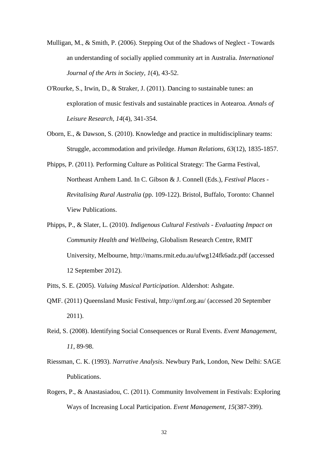- Mulligan, M., & Smith, P. (2006). Stepping Out of the Shadows of Neglect Towards an understanding of socially applied community art in Australia. *International Journal of the Arts in Society, 1*(4), 43-52.
- O'Rourke, S., Irwin, D., & Straker, J. (2011). Dancing to sustainable tunes: an exploration of music festivals and sustainable practices in Aotearoa. *Annals of Leisure Research, 14*(4), 341-354.
- Oborn, E., & Dawson, S. (2010). Knowledge and practice in multidisciplinary teams: Struggle, accommodation and priviledge. *Human Relations, 63*(12), 1835-1857.
- Phipps, P. (2011). Performing Culture as Political Strategy: The Garma Festival, Northeast Arnhem Land. In C. Gibson & J. Connell (Eds.), *Festival Places - Revitalising Rural Australia* (pp. 109-122). Bristol, Buffalo, Toronto: Channel View Publications.
- Phipps, P., & Slater, L. (2010). *Indigenous Cultural Festivals - Evaluating Impact on Community Health and Wellbeing*, Globalism Research Centre, RMIT University, Melbourne, http://mams.rmit.edu.au/ufwg124fk6adz.pdf (accessed 12 September 2012).
- Pitts, S. E. (2005). *Valuing Musical Participation*. Aldershot: Ashgate.
- QMF. (2011) Queensland Music Festival, http://qmf.org.au/ (accessed 20 September 2011).
- Reid, S. (2008). Identifying Social Consequences or Rural Events. *Event Management, 11*, 89-98.
- Riessman, C. K. (1993). *Narrative Analysis*. Newbury Park, London, New Delhi: SAGE Publications.
- Rogers, P., & Anastasiadou, C. (2011). Community Involvement in Festivals: Exploring Ways of Increasing Local Participation. *Event Management, 15*(387-399).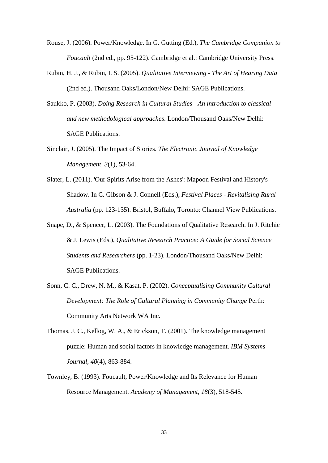- Rouse, J. (2006). Power/Knowledge. In G. Gutting (Ed.), *The Cambridge Companion to Foucault* (2nd ed., pp. 95-122). Cambridge et al.: Cambridge University Press.
- Rubin, H. J., & Rubin, I. S. (2005). *Qualitative Interviewing - The Art of Hearing Data* (2nd ed.). Thousand Oaks/London/New Delhi: SAGE Publications.
- Saukko, P. (2003). *Doing Research in Cultural Studies - An introduction to classical and new methodological approaches*. London/Thousand Oaks/New Delhi: SAGE Publications.
- Sinclair, J. (2005). The Impact of Stories. *The Electronic Journal of Knowledge Management, 3*(1), 53-64.
- Slater, L. (2011). 'Our Spirits Arise from the Ashes': Mapoon Festival and History's Shadow. In C. Gibson & J. Connell (Eds.), *Festival Places - Revitalising Rural Australia* (pp. 123-135). Bristol, Buffalo, Toronto: Channel View Publications.
- Snape, D., & Spencer, L. (2003). The Foundations of Qualitative Research. In J. Ritchie & J. Lewis (Eds.), *Qualitative Research Practice: A Guide for Social Science Students and Researchers* (pp. 1-23). London/Thousand Oaks/New Delhi: SAGE Publications.
- Sonn, C. C., Drew, N. M., & Kasat, P. (2002). *Conceptualising Community Cultural Development: The Role of Cultural Planning in Community Change* Perth: Community Arts Network WA Inc.
- Thomas, J. C., Kellog, W. A., & Erickson, T. (2001). The knowledge management puzzle: Human and social factors in knowledge management. *IBM Systems Journal, 40*(4), 863-884.
- Townley, B. (1993). Foucault, Power/Knowledge and Its Relevance for Human Resource Management. *Academy of Management, 18*(3), 518-545.